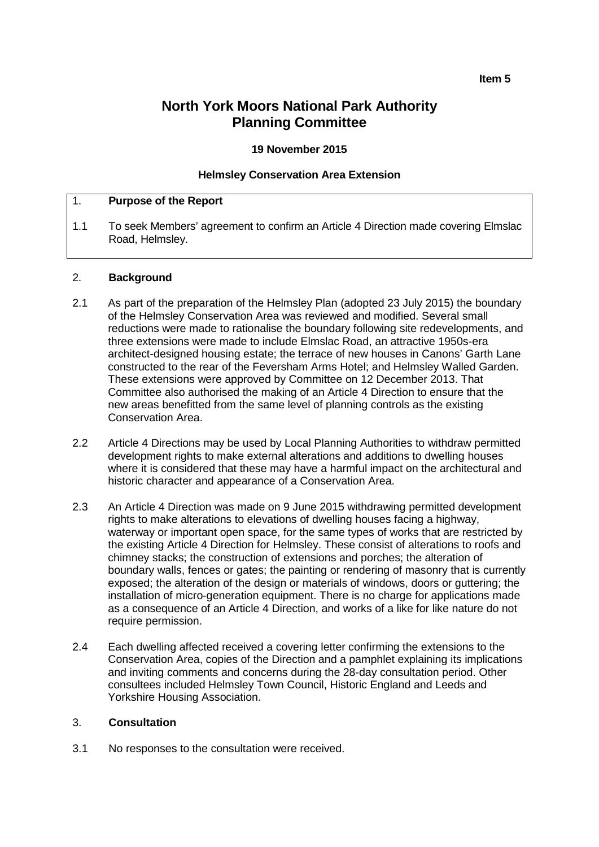# **North York Moors National Park Authority Planning Committee**

**19 November 2015**

#### **Helmsley Conservation Area Extension**

#### 1. **Purpose of the Report**

1.1 To seek Members' agreement to confirm an Article 4 Direction made covering Elmslac Road, Helmsley.

#### 2. **Background**

- 2.1 As part of the preparation of the Helmsley Plan (adopted 23 July 2015) the boundary of the Helmsley Conservation Area was reviewed and modified. Several small reductions were made to rationalise the boundary following site redevelopments, and three extensions were made to include Elmslac Road, an attractive 1950s-era architect-designed housing estate; the terrace of new houses in Canons' Garth Lane constructed to the rear of the Feversham Arms Hotel; and Helmsley Walled Garden. These extensions were approved by Committee on 12 December 2013. That Committee also authorised the making of an Article 4 Direction to ensure that the new areas benefitted from the same level of planning controls as the existing Conservation Area.
- 2.2 Article 4 Directions may be used by Local Planning Authorities to withdraw permitted development rights to make external alterations and additions to dwelling houses where it is considered that these may have a harmful impact on the architectural and historic character and appearance of a Conservation Area.
- 2.3 An Article 4 Direction was made on 9 June 2015 withdrawing permitted development rights to make alterations to elevations of dwelling houses facing a highway, waterway or important open space, for the same types of works that are restricted by the existing Article 4 Direction for Helmsley. These consist of alterations to roofs and chimney stacks; the construction of extensions and porches; the alteration of boundary walls, fences or gates; the painting or rendering of masonry that is currently exposed; the alteration of the design or materials of windows, doors or guttering; the installation of micro-generation equipment. There is no charge for applications made as a consequence of an Article 4 Direction, and works of a like for like nature do not require permission.
- 2.4 Each dwelling affected received a covering letter confirming the extensions to the Conservation Area, copies of the Direction and a pamphlet explaining its implications and inviting comments and concerns during the 28-day consultation period. Other consultees included Helmsley Town Council, Historic England and Leeds and Yorkshire Housing Association.

# 3. **Consultation**

3.1 No responses to the consultation were received.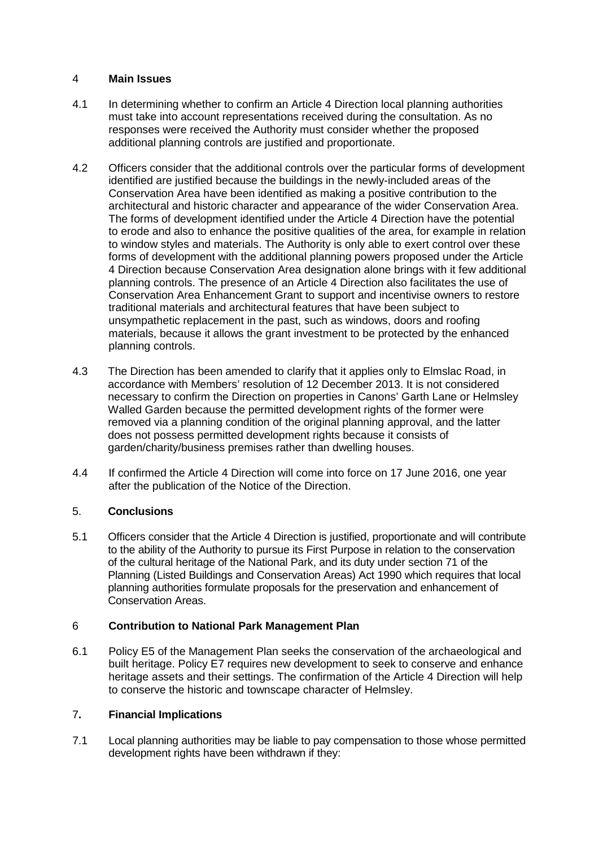# 4 **Main Issues**

- 4.1 In determining whether to confirm an Article 4 Direction local planning authorities must take into account representations received during the consultation. As no responses were received the Authority must consider whether the proposed additional planning controls are justified and proportionate.
- 4.2 Officers consider that the additional controls over the particular forms of development identified are justified because the buildings in the newly-included areas of the Conservation Area have been identified as making a positive contribution to the architectural and historic character and appearance of the wider Conservation Area. The forms of development identified under the Article 4 Direction have the potential to erode and also to enhance the positive qualities of the area, for example in relation to window styles and materials. The Authority is only able to exert control over these forms of development with the additional planning powers proposed under the Article 4 Direction because Conservation Area designation alone brings with it few additional planning controls. The presence of an Article 4 Direction also facilitates the use of Conservation Area Enhancement Grant to support and incentivise owners to restore traditional materials and architectural features that have been subject to unsympathetic replacement in the past, such as windows, doors and roofing materials, because it allows the grant investment to be protected by the enhanced planning controls.
- 4.3 The Direction has been amended to clarify that it applies only to Elmslac Road, in accordance with Members' resolution of 12 December 2013. It is not considered necessary to confirm the Direction on properties in Canons' Garth Lane or Helmsley Walled Garden because the permitted development rights of the former were removed via a planning condition of the original planning approval, and the latter does not possess permitted development rights because it consists of garden/charity/business premises rather than dwelling houses.
- 4.4 If confirmed the Article 4 Direction will come into force on 17 June 2016, one year after the publication of the Notice of the Direction.

# 5. **Conclusions**

5.1 Officers consider that the Article 4 Direction is justified, proportionate and will contribute to the ability of the Authority to pursue its First Purpose in relation to the conservation of the cultural heritage of the National Park, and its duty under section 71 of the Planning (Listed Buildings and Conservation Areas) Act 1990 which requires that local planning authorities formulate proposals for the preservation and enhancement of Conservation Areas.

## 6 **Contribution to National Park Management Plan**

6.1 Policy E5 of the Management Plan seeks the conservation of the archaeological and built heritage. Policy E7 requires new development to seek to conserve and enhance heritage assets and their settings. The confirmation of the Article 4 Direction will help to conserve the historic and townscape character of Helmsley.

## 7**. Financial Implications**

7.1 Local planning authorities may be liable to pay compensation to those whose permitted development rights have been withdrawn if they: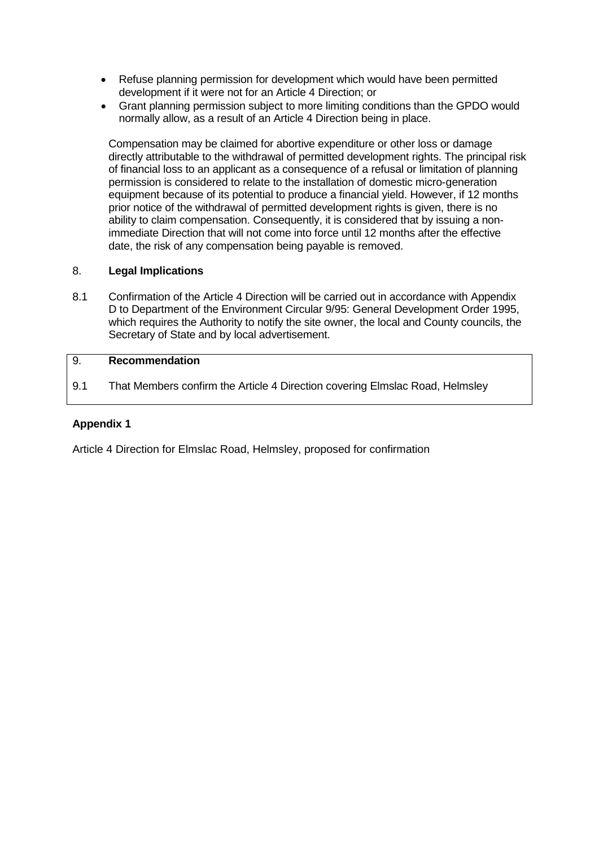- Refuse planning permission for development which would have been permitted development if it were not for an Article 4 Direction; or
- Grant planning permission subject to more limiting conditions than the GPDO would normally allow, as a result of an Article 4 Direction being in place.

Compensation may be claimed for abortive expenditure or other loss or damage directly attributable to the withdrawal of permitted development rights. The principal risk of financial loss to an applicant as a consequence of a refusal or limitation of planning permission is considered to relate to the installation of domestic micro-generation equipment because of its potential to produce a financial yield. However, if 12 months prior notice of the withdrawal of permitted development rights is given, there is no ability to claim compensation. Consequently, it is considered that by issuing a nonimmediate Direction that will not come into force until 12 months after the effective date, the risk of any compensation being payable is removed.

# 8. **Legal Implications**

8.1 Confirmation of the Article 4 Direction will be carried out in accordance with Appendix D to Department of the Environment Circular 9/95: General Development Order 1995, which requires the Authority to notify the site owner, the local and County councils, the Secretary of State and by local advertisement.

# 9. **Recommendation**

9.1 That Members confirm the Article 4 Direction covering Elmslac Road, Helmsley

# **Appendix 1**

Article 4 Direction for Elmslac Road, Helmsley, proposed for confirmation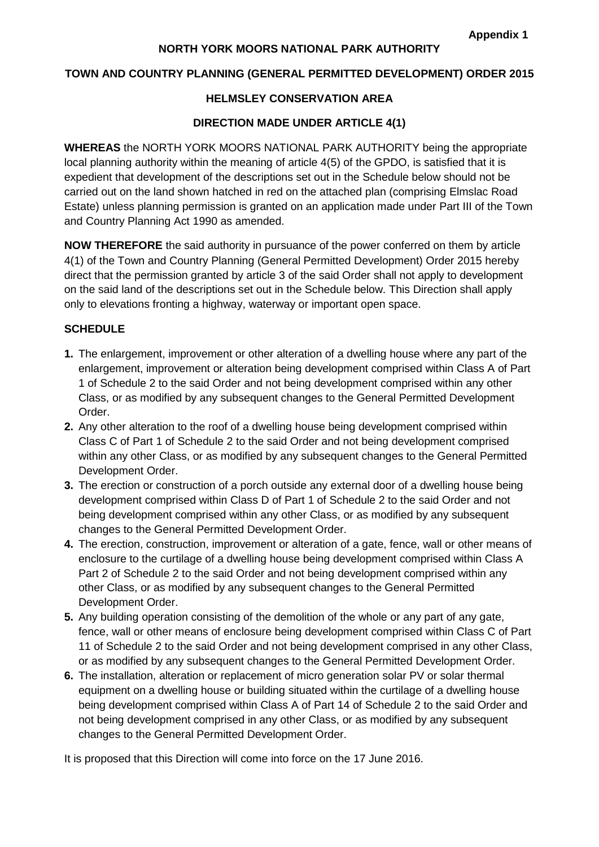# **NORTH YORK MOORS NATIONAL PARK AUTHORITY**

#### **TOWN AND COUNTRY PLANNING (GENERAL PERMITTED DEVELOPMENT) ORDER 2015**

# **HELMSLEY CONSERVATION AREA**

#### **DIRECTION MADE UNDER ARTICLE 4(1)**

**WHEREAS** the NORTH YORK MOORS NATIONAL PARK AUTHORITY being the appropriate local planning authority within the meaning of article 4(5) of the GPDO, is satisfied that it is expedient that development of the descriptions set out in the Schedule below should not be carried out on the land shown hatched in red on the attached plan (comprising Elmslac Road Estate) unless planning permission is granted on an application made under Part III of the Town and Country Planning Act 1990 as amended.

**NOW THEREFORE** the said authority in pursuance of the power conferred on them by article 4(1) of the Town and Country Planning (General Permitted Development) Order 2015 hereby direct that the permission granted by article 3 of the said Order shall not apply to development on the said land of the descriptions set out in the Schedule below. This Direction shall apply only to elevations fronting a highway, waterway or important open space.

## **SCHEDULE**

- **1.** The enlargement, improvement or other alteration of a dwelling house where any part of the enlargement, improvement or alteration being development comprised within Class A of Part 1 of Schedule 2 to the said Order and not being development comprised within any other Class, or as modified by any subsequent changes to the General Permitted Development Order.
- **2.** Any other alteration to the roof of a dwelling house being development comprised within Class C of Part 1 of Schedule 2 to the said Order and not being development comprised within any other Class, or as modified by any subsequent changes to the General Permitted Development Order.
- **3.** The erection or construction of a porch outside any external door of a dwelling house being development comprised within Class D of Part 1 of Schedule 2 to the said Order and not being development comprised within any other Class, or as modified by any subsequent changes to the General Permitted Development Order.
- **4.** The erection, construction, improvement or alteration of a gate, fence, wall or other means of enclosure to the curtilage of a dwelling house being development comprised within Class A Part 2 of Schedule 2 to the said Order and not being development comprised within any other Class, or as modified by any subsequent changes to the General Permitted Development Order.
- **5.** Any building operation consisting of the demolition of the whole or any part of any gate, fence, wall or other means of enclosure being development comprised within Class C of Part 11 of Schedule 2 to the said Order and not being development comprised in any other Class, or as modified by any subsequent changes to the General Permitted Development Order.
- **6.** The installation, alteration or replacement of micro generation solar PV or solar thermal equipment on a dwelling house or building situated within the curtilage of a dwelling house being development comprised within Class A of Part 14 of Schedule 2 to the said Order and not being development comprised in any other Class, or as modified by any subsequent changes to the General Permitted Development Order.

It is proposed that this Direction will come into force on the 17 June 2016.